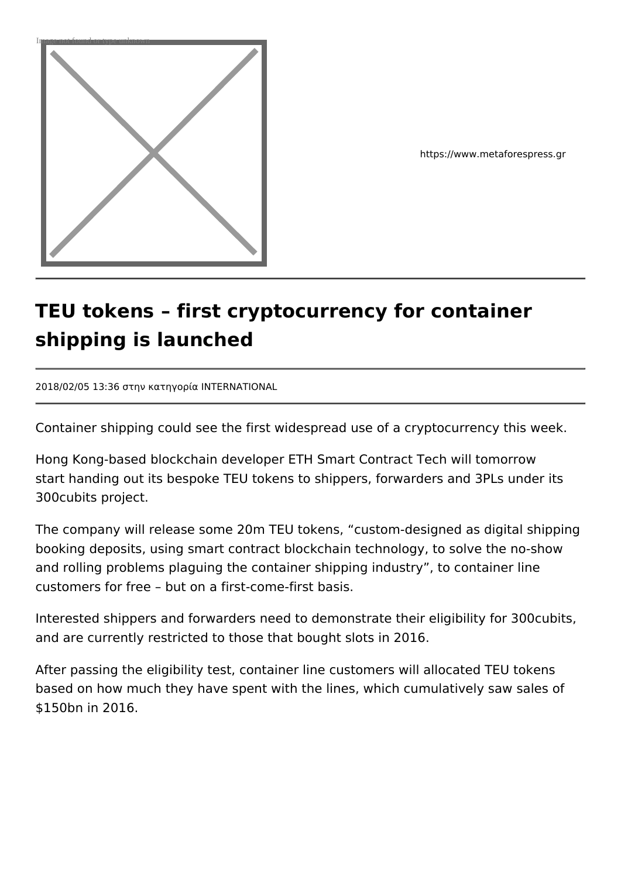

https://www.metaforespress.gr

## **TEU tokens – first cryptocurrency for container shipping is launched**

2018/02/05 13:36 στην κατηγορία INTERNATIONAL

Container shipping could see the first widespread use of a cryptocurrency this week.

Hong Kong-based blockchain developer ETH Smart Contract Tech will tomorrow start handing out its bespoke TEU tokens to shippers, forwarders and 3PLs under its 300cubits project.

The company will release some 20m TEU tokens, "custom-designed as digital shipping booking deposits, using smart contract blockchain technology, to solve the no-show and rolling problems plaguing the container shipping industry", to container line customers for free – but on a first-come-first basis.

Interested shippers and forwarders need to demonstrate their eligibility for 300cubits, and are currently restricted to those that bought slots in 2016.

After passing the eligibility test, container line customers will allocated TEU tokens based on how much they have spent with the lines, which cumulatively saw sales of \$150bn in 2016.